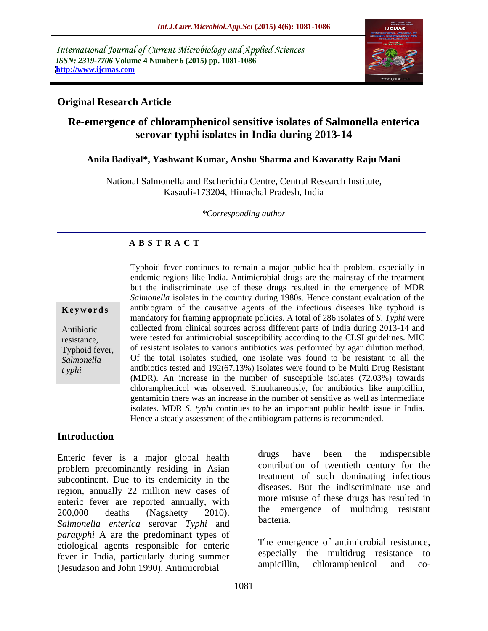International Journal of Current Microbiology and Applied Sciences *ISSN: 2319-7706* **Volume 4 Number 6 (2015) pp. 1081-1086 <http://www.ijcmas.com>**



### **Original Research Article**

# **Re-emergence of chloramphenicol sensitive isolates of Salmonella enterica serovar typhi isolates in India during 2013-14**

### **Anila Badiyal\*, Yashwant Kumar, Anshu Sharma and Kavaratty Raju Mani**

National Salmonella and Escherichia Centre, Central Research Institute, Kasauli-173204, Himachal Pradesh, India

*\*Corresponding author*

## **A B S T R A C T**

*t yphi*

Typhoid fever continues to remain a major public health problem, especially in endemic regions like India. Antimicrobial drugs are the mainstay of the treatment but the indiscriminate use of these drugs resulted in the emergence of MDR *Salmonella* isolates in the country during 1980s. Hence constant evaluation of the **Keywords** antibiogram of the causative agents of the infectious diseases like typhoid is mandatory for framing appropriate policies. A total of 286 isolates of *S*. *Typhi* were collected from clinical sources across different parts of India during 2013-14 and Antibiotic resistance, were tested for antimicrobial susceptibility according to the CLSI guidelines. MIC Typhoid fever, of resistant isolates to various antibiotics was performed by agar dilution method.<br>Salmonella Of the total isolates studied, one isolate was found to be resistant to all the antibiotics tested and 192(67.13%) isolates were found to be Multi Drug Resistant (MDR). An increase in the number of susceptible isolates(72.03%) towards chloramphenicol was observed. Simultaneously, for antibiotics like ampicillin, gentamicin there was an increase in the number of sensitive as well as intermediate isolates. MDR *S*. *typhi* continues to be an important public health issue in India. Hence a steady assessment of the antibiogram patterns is recommended. Typhoid fever, of resistant isolates to various antibiotics was performed by agar dilution method.

### **Introduction**

problem predominantly residing in Asian subcontinent. Due to its endemicity in the region, annually 22 million new cases of enteric fever are reported annually, with 200,000 deaths (Nagshetty 2010). The emergence of multidrug resistant *Salmonella enterica* serovar *Typhi* and *paratyphi* A are the predominant types of etiological agents responsible for enteric fever in India, particularly during summer<br>
(Legislation and Lohn 1000) Antimicrobial<br>
(Legislation and Co-(Jesudason and John 1990). Antimicrobial

Enteric fever is a major global health drugs have been the indispensible drugs have been the indispensible contribution of twentieth century for the treatment of such dominating infectious diseases. But the indiscriminate use and more misuse of these drugs has resulted in the emergence of multidrug resistant bacteria.

> The emergence of antimicrobial resistance, especially the multidrug resistance to ampicillin, chloramphenicol and co-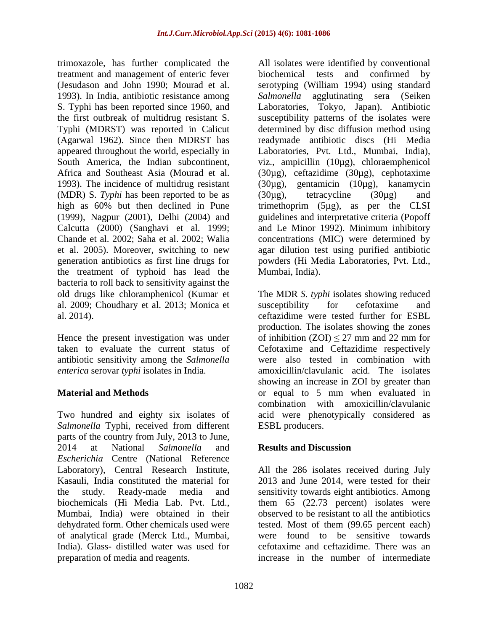trimoxazole, has further complicated the All isolates were identified by conventional treatment and management of enteric fever (Jesudason and John 1990; Mourad et al. serotyping (William 1994) using standard 1993). In India, antibiotic resistance among *Salmonella* agglutinating sera (Seiken S. Typhi has been reported since 1960, and the first outbreak of multidrug resistant S. Susceptibility patterns of the isolates were Typhi (MDRST) was reported in Calicut determined by disc diffusion method using (Agarwal 1962). Since then MDRST has appeared throughout the world, especially in Laboratories, Pvt. Ltd., Mumbai, India), South America, the Indian subcontinent, viz., ampicillin (10µg), chloraemphenicol Africa and Southeast Asia (Mourad et al. (30µg), ceftazidime (30µg), cephotaxime 1993). The incidence of multidrug resistant  $(30\mu g)$ , gentamicin  $(10\mu g)$ , kanamycin (MDR) S. *Typhi* has been reported to be as high as 60% but then declined in Pune trimethoprim (5µg), as per the CLSI (1999), Nagpur (2001), Delhi (2004) and guidelines and interpretative criteria (Popoff Calcutta (2000) (Sanghavi et al. 1999; and Le Minor 1992). Minimum inhibitory Chande et al. 2002; Saha et al. 2002; Walia concentrations (MIC) were determined by et al. 2005). Moreover, switching to new agar dilution test using purified antibiotic generation antibiotics as first line drugs for the treatment of typhoid has lead the bacteria to roll back to sensitivity against the al. 2009; Choudhary et al. 2013; Monica et

*Salmonella* Typhi, received from different parts of the country from July, 2013 to June, 2014 at National *Salmonella* and *Escherichia* Centre (National Reference Laboratory), Central Research Institute, All the 286 isolates received during July Kasauli, India constituted the material for 2013 and June 2014, were tested for their the study. Ready-made media and sensitivity towards eight antibiotics.Among biochemicals (Hi Media Lab. Pvt. Ltd., them 65 (22.73 percent) isolates were Mumbai, India) were obtained in their observed to be resistant to all the antibiotics dehydrated form. Other chemicals used were of analytical grade (Merck Ltd., Mumbai, were found to be sensitive towards India). Glass- distilled water was used for preparation of media and reagents. increase in the number of intermediate

biochemical tests and confirmed by Laboratories, Tokyo, Japan). Antibiotic readymade antibiotic discs (Hi Media (30µg), tetracycline (30µg) and powders (Hi Media Laboratories, Pvt. Ltd., Mumbai, India).

old drugs like chloramphenicol (Kumar et The MDR *S. typhi* isolates showing reduced al. 2014). ceftazidime were tested further for ESBL Hence the present investigation was under of inhibition  $(ZOI) \leq 27$  mm and 22 mm for taken to evaluate the current status of Cefotaxime and Ceftazidime respectively antibiotic sensitivity among the *Salmonella*  were also tested in combination with *enterica* serovar *typhi* isolates in India. amoxicillin/clavulanic acid. The isolates **Material and Methods** or equal to 5 mm when evaluated in Two hundred and eighty six isolates of acid were phenotypically considered as susceptibility for cefotaxime and production. The isolates showing the zones showing an increase in ZOI by greater than combination with amoxicillin/clavulanic ESBL producers.

### **Results and Discussion**

tested. Most of them (99.65 percent each) cefotaxime and ceftazidime. There was an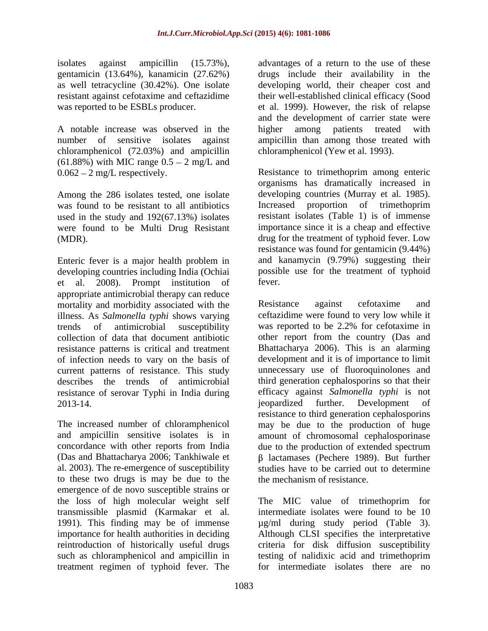chloramphenicol (72.03%) and ampicillin (61.88%) with MIC range  $0.5 - 2$  mg/L and

Among the 286 isolates tested, one isolate was found to be resistant to all antibiotics lines are proportion of trimethoprim used in the study and 192(67.13%) isolates were found to be Multi Drug Resistant

Enteric fever is a major health problem in developing countries including India (Ochiai possib<br>et al. 2008) Prompt institution of fever. et al. 2008). Prompt institution of appropriate antimicrobial therapy can reduce mortality and morbidity associated with the Resistance against cefotaxime and illness. As *Salmonella typhi* shows varying resistance patterns is critical and treatment of infection needs to vary on the basis of describes the trends of antimicrobial resistance of serovar Typhi in India during efficacy against Salmonella typhi is not<br>2013-14. levelopment of

al. 2003). The re-emergence of susceptibility to these two drugs is may be due to the emergence of de novo susceptible strains or<br>the loss of high molecular weight self transmissible plasmid (Karmakar et al. treatment regimen of typhoid fever. The

isolates against ampicillin (15.73%), advantages of a return to the use of these gentamicin (13.64%), kanamicin (27.62%) drugsinclude their availability in the as well tetracycline (30.42%). One isolate developing world, their cheaper cost and resistant against cefotaxime and ceftazidime their well-established clinical efficacy (Sood was reported to be ESBLs producer. 
et al. 1999). However, the risk of relapse A notable increase was observed in the ligher among patients treated with number of sensitive isolates against amoicillin than among those treated with number of sensitive isolates against ampicillin than among those treated with and the development of carrier state were higher among patients treated with chloramphenicol (Yew et al. 1993).

0.062 2 mg/L respectively. Resistance to trimethoprim among enteric (MDR). drug for the treatment of typhoid fever. Low organisms has dramatically increased in developing countries (Murray et al. 1985). Increased proportion of trimethoprim resistant isolates (Table 1) is of immense importance since it is a cheap and effective resistance was found for gentamicin (9.44%) and kanamycin (9.79%) suggesting their possible use for the treatment of typhoid fever.

trends of antimicrobial susceptibility was reported to be 2.2% for cefotaxime in collection of data that document antibiotic other report from the country (Das and current patterns of resistance. This study unnecessary use of fluoroquinolones and 2013-14. 2013-14. The increased number of chloramphenicol may be due to the production of huge and ampicillin sensitive isolates is in amount of chromosomal cephalosporinase concordance with other reports from India due to the production of extended spectrum (Das and Bhattacharya 2006; Tankhiwale et  $\beta$  lactamases (Pechere 1989). But further Resistance against cefotaxime and ceftazidime were found to very low while it Bhattacharya 2006). This is an alarming development and it is of importance to limit third generation cephalosporins so that their efficacy against *Salmonella typhi* is not jeopardized further. Development of resistance to third generation cephalosporins studies have to be carried out to determine the mechanism of resistance.

the loss of high molecular weight self The MIC value of trimethoprim for 1991). This finding may be of immense µg/ml during study period (Table 3). importance for health authorities in deciding Although CLSI specifies the interpretative reintroduction of historically useful drugs criteria for disk diffusion susceptibility such as chloramphenicol and ampicillin in testing of nalidixic acid and trimethoprim intermediate isolates were found to be 10 for intermediate isolates there are no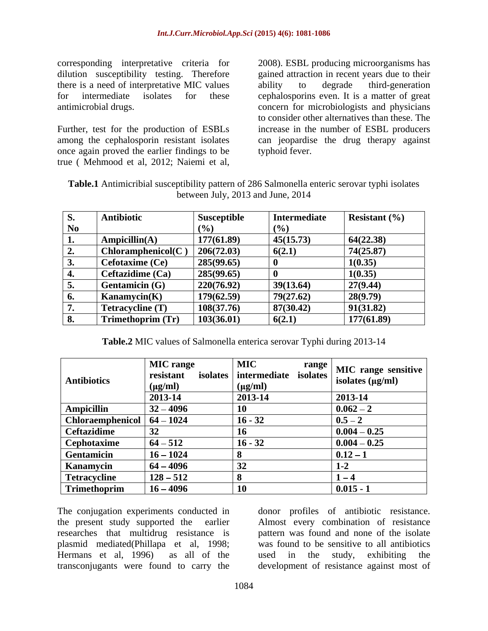corresponding interpretative criteria for 2008). ESBL producing microorganisms has there is a need of interpretative MIC values

Further, test for the production of ESBLs once again proved the earlier findings to be

dilution susceptibility testing. Therefore gained attraction in recent years due to their for intermediate isolates for these cephalosporins even. It is a matter of great antimicrobial drugs. concern for microbiologists and physicians among the cephalosporin resistant isolates can jeopardise the drug therapy against corresponding interpretative criteria for 2008). ESBL producing microorganisms has<br>dilution susceptibility testing. Therefore gained attraction in recent years due to their<br>there is a need of interpretative MIC values abil ability to degrade third-generation to consider other alternatives than these. The increase in the number of ESBL producers typhoid fever.

| Table.1 A<br>Antimicribial susceptibility pattern of 286 Salmonella enteric serovar typhi isolates |  |
|----------------------------------------------------------------------------------------------------|--|
| between July, 2013 and June, 2014                                                                  |  |

| S.        | <b>Antibiotic</b>     | <b>Susceptible</b> | Intermediate | <b>Resistant</b> $(\%)$ |
|-----------|-----------------------|--------------------|--------------|-------------------------|
| No        |                       | (9/0)              | (%           |                         |
| L.        | Ampicillin(A)         | 177(61.89)         | 45(15.73)    | 64(22.38)               |
| ∠.        | Chloramphenicol(C)    | 206(72.03)         | 6(2.1)       | 74(25.87)               |
| J.        | Cefotaxime (Ce)       | 285(99.65)         |              | 1(0.35)                 |
| ч.        | Ceftazidime (Ca)      | 285(99.65)         |              | 1(0.35)                 |
| ◡.        | <b>Gentamicin (G)</b> | 220(76.92)         | 39(13.64)    | 27(9.44)                |
| 6.        | Kanamycin(K)          | 179(62.59)         | 79(27.62)    | 28(9.79)                |
| $\cdot$ . | Tetracycline (T)      | 108(37.76)         | 87(30.42)    | 91(31.82)               |
| 8.        | Trimethoprim (Tr)     | 103(36.01)         | 6(2.1)       | 177(61.89)              |

**Table.2** MIC values of Salmonella enterica serovar Typhi during 2013-14

|                                     | <b>MIC</b> range | <b>MIC</b>    | $\begin{array}{c c} \text{range} & \text{MIC range sensitive} \end{array}$ |
|-------------------------------------|------------------|---------------|----------------------------------------------------------------------------|
| <b>Antibiotics</b>                  | resistant        |               | $\frac{1}{2}$ isolates intermediate isolates isolates isolates (µg/ml)     |
|                                     | $(\mu g/ml)$     | $\mu$ (µg/ml) |                                                                            |
|                                     | 2013-14          | $ 2013-14 $   | $2013 - 14$                                                                |
| Ampicillin                          | $32 - 4096$      | 10            | $0.062 - 2$                                                                |
| <b>Chloraemphenicol</b> $64 - 1024$ |                  | $16 - 32$     | $0.5 - 2$                                                                  |
| Ceftazidime                         |                  |               | $\mid 0.004 - 0.25 \mid$                                                   |
| <b>Cephotaxime</b>                  | $ 64 - 512 $     | $16 - 32$     | $ 0.004 - 0.25 $                                                           |
| <b>Gentamicin</b>                   | $16 - 1024$      |               | $ 0.12 - 1$                                                                |
| <b>Kanamycin</b>                    | $ 64 - 4096 $    |               | $1-2$                                                                      |
| Tetracycline                        | $128 - 512$      |               | $1 - 4$                                                                    |
| Trimethoprim                        | $16 - 4096$      |               | $ 0.015 - 1$                                                               |

The conjugation experiments conducted in donor profiles of antibiotic resistance. the present study supported the earlier Almost every combination of resistance researches that multidrug resistance is plasmid mediated(Phillapa et al, 1998; was found to be sensitive to all antibiotics Hermans et al, 1996) as all of the

transconjugants were found to carry the development of resistance against most ofpattern was found and none of the isolate used in the study, exhibiting the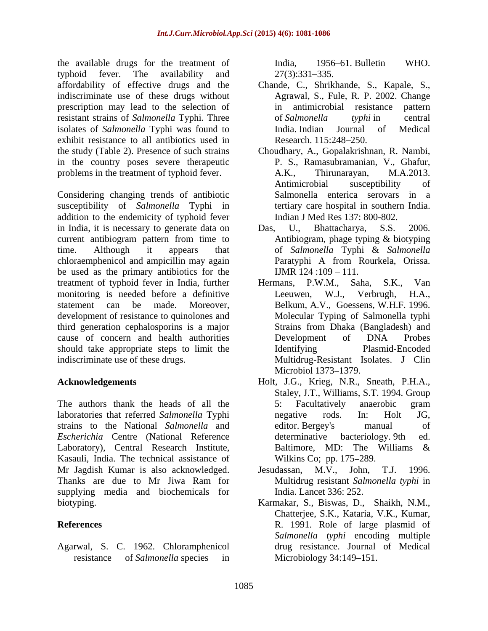the available drugs for the treatment of India, 1956–61. Bulletin WHO. typhoid fever. The availability and  $27(3):331-335$ . affordability of effective drugs and the Chande, C., Shrikhande, S., Kapale, S., indiscriminate use of these drugs without prescription may lead to the selection of in antimicrobial resistance pattern resistant strains of *Salmonella* Typhi. Three isolates of *Salmonella* Typhi was found to exhibit resistance to all antibiotics used in Research. 115:248-250. in the country poses severe therapeutic problems in the treatment of typhoid fever. A.K., Thirunarayan, M.A.2013.

Considering changing trends of antibiotic susceptibility of *Salmonella* Typhi in addition to the endemicity of typhoid fever in India, it is necessary to generate data on Das, U., Bhattacharya, S.S. 2006. current antibiogram pattern from time to Antibiogram, phage typing & biotyping time. Although it appears that of *Salmonella* Typhi & *Salmonella*  chloraemphenicol and ampicillin may again **Paratyphi** A from Rourkela, Orissa. be used as the primary antibiotics for the treatment of typhoid fever in India, further Hermans, P.W.M., Saha, S.K., Van monitoring is needed before a definitive Leeuwen, W.J., Verbrugh, H.A., development of resistance to quinolones and third generation cephalosporins is a major cause of concern and health authorities should take appropriate steps to limit the Identifying Plasmid-Encoded

The authors thank the heads of all the 5: Facultatively anaerobic gram laboratories that referred *Salmonella* Typhi strains to the National *Salmonella* and *Escherichia* Centre (National Reference Laboratory), Central Research Institute, Baltimore, MD: The Williams & Kasauli, India. The technical assistance of Mr Jagdish Kumar is also acknowledged. Jesudassan, M.V., John, T.J. 1996. Thanks are due to Mr Jiwa Ram for supplying media and biochemicals for

Agarwal, S. C. 1962. Chloramphenicol

India, 1956 61. Bulletin WHO.  $27(3):331-335.$ 

- Agrawal, S., Fule, R. P. 2002. Change in antimicrobial resistance pattern of *Salmonella typhi* in central India. Indian Journal of Medical Research. 115:248–250.
- the study (Table 2). Presence of such strains Choudhary, A., Gopalakrishnan, R. Nambi, P. S., Ramasubramanian, V., Ghafur, A.K., Thirunarayan, M.A.2013. Antimicrobial susceptibility of Salmonella enterica serovars in a tertiary care hospital in southern India. Indian J Med Res 137: 800-802.
	- Das, U., Bhattacharya, S.S. 2006. Antibiogram, phage typing & biotyping Paratyphi A from Rourkela, Orissa. IJMR  $124:109 - 111$ .
- statement can be made. Moreover, Belkum, A.V., Goessens, W.H.F. 1996. indiscriminate use of these drugs. Multidrug-Resistant Isolates. J Clin Hermans, P.W.M., Saha, S.K., Van Leeuwen, W.J., Molecular Typing of Salmonella typhi Strains from Dhaka (Bangladesh) and Development of DNA Probes Identifying Plasmid-Encoded Microbiol 1373–1379.
- **Acknowledgements** Holt, J.G., Krieg, N.R., Sneath, P.H.A., Staley, J.T., Williams, S.T. 1994. Group 5: Facultatively anaerobic gram negative rods. In: Holt JG, editor. Bergey's manual of determinative bacteriology. 9th ed. Baltimore, MD: The Williams & Wilkins Co; pp. 175–289.
	- Jesudassan, M.V., John, Multidrug resistant *Salmonella typhi* in India. Lancet 336: 252.
- biotyping. Karmakar, S., Biswas, D., Shaikh, N.M., **References** R. 1991. Role of large plasmid of resistance of *Salmonella* species in Microbiology 34:149–151. Chatterjee, S.K., Kataria, V.K., Kumar, *Salmonella typhi* encoding multiple drug resistance. Journal of Medical